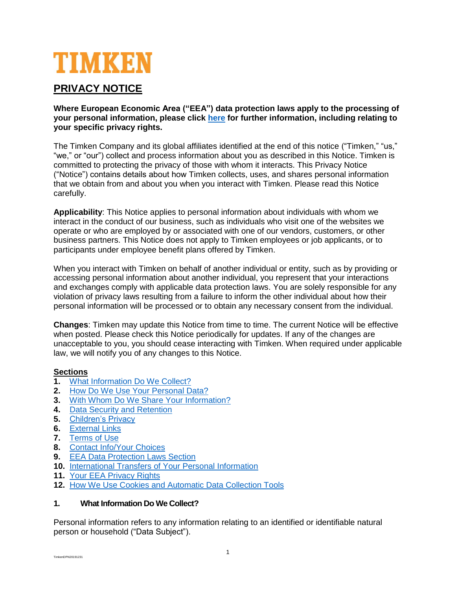# TIMKEN

## **PRIVACY NOTICE**

**Where European Economic Area ("EEA") data protection laws apply to the processing of your personal information, please click [here](#page-4-0) for further information, including relating to your specific privacy rights.**

The Timken Company and its global affiliates identified at the end of this notice ("Timken," "us," "we," or "our") collect and process information about you as described in this Notice. Timken is committed to protecting the privacy of those with whom it interacts. This Privacy Notice ("Notice") contains details about how Timken collects, uses, and shares personal information that we obtain from and about you when you interact with Timken. Please read this Notice carefully.

**Applicability**: This Notice applies to personal information about individuals with whom we interact in the conduct of our business, such as individuals who visit one of the websites we operate or who are employed by or associated with one of our vendors, customers, or other business partners. This Notice does not apply to Timken employees or job applicants, or to participants under employee benefit plans offered by Timken.

When you interact with Timken on behalf of another individual or entity, such as by providing or accessing personal information about another individual, you represent that your interactions and exchanges comply with applicable data protection laws. You are solely responsible for any violation of privacy laws resulting from a failure to inform the other individual about how their personal information will be processed or to obtain any necessary consent from the individual.

**Changes**: Timken may update this Notice from time to time. The current Notice will be effective when posted. Please check this Notice periodically for updates. If any of the changes are unacceptable to you, you should cease interacting with Timken. When required under applicable law, we will notify you of any changes to this Notice.

## **Sections**

- **1.** [What Information Do We Collect?](#page-0-0)
- **2.** [How Do We Use Your Personal Data?](#page-1-0)
- **3.** [With Whom Do We Share Your Information?](#page-2-0)
- **4.** [Data Security and Retention](#page-3-0)
- **5.** [Children's Privacy](#page-3-1)
- **6.** [External Links](#page-3-2)
- **7.** [Terms of Use](#page-3-3)
- **8.** [Contact Info/Your Choices](#page-4-1)
- **9. [EEA Data Protection Laws Section](#page-4-0)**
- **10.** [International Transfers of Your Personal](#page-4-2) Information
- **11.** [Your EEA Privacy Rights](#page-5-0)
- **12.** [How We Use Cookies and Automatic Data Collection Tools](#page-5-1)

## <span id="page-0-0"></span>**1. What Information Do We Collect?**

Personal information refers to any information relating to an identified or identifiable natural person or household ("Data Subject").

TimkenDPN20191231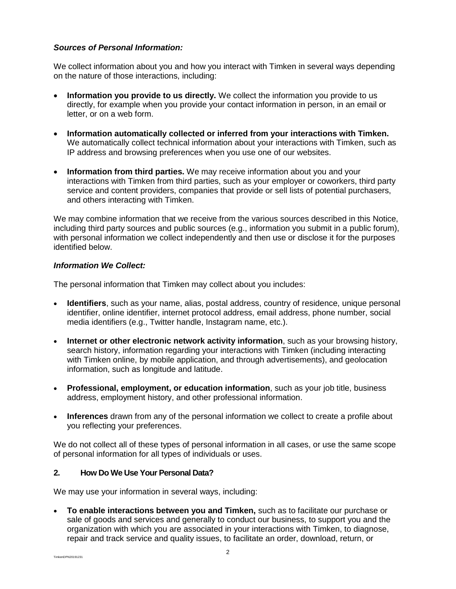## *Sources of Personal Information:*

We collect information about you and how you interact with Timken in several ways depending on the nature of those interactions, including:

- **Information you provide to us directly.** We collect the information you provide to us directly, for example when you provide your contact information in person, in an email or letter, or on a web form.
- **Information automatically collected or inferred from your interactions with Timken.** We automatically collect technical information about your interactions with Timken, such as IP address and browsing preferences when you use one of our websites.
- **Information from third parties.** We may receive information about you and your interactions with Timken from third parties, such as your employer or coworkers, third party service and content providers, companies that provide or sell lists of potential purchasers, and others interacting with Timken.

We may combine information that we receive from the various sources described in this Notice, including third party sources and public sources (e.g., information you submit in a public forum), with personal information we collect independently and then use or disclose it for the purposes identified below.

## *Information We Collect:*

The personal information that Timken may collect about you includes:

- **Identifiers**, such as your name, alias, postal address, country of residence, unique personal identifier, online identifier, internet protocol address, email address, phone number, social media identifiers (e.g., Twitter handle, Instagram name, etc.).
- **Internet or other electronic network activity information**, such as your browsing history, search history, information regarding your interactions with Timken (including interacting with Timken online, by mobile application, and through advertisements), and geolocation information, such as longitude and latitude.
- **Professional, employment, or education information**, such as your job title, business address, employment history, and other professional information.
- **Inferences** drawn from any of the personal information we collect to create a profile about you reflecting your preferences.

We do not collect all of these types of personal information in all cases, or use the same scope of personal information for all types of individuals or uses.

## <span id="page-1-0"></span>**2. How Do We Use Your Personal Data?**

We may use your information in several ways, including:

• **To enable interactions between you and Timken,** such as to facilitate our purchase or sale of goods and services and generally to conduct our business, to support you and the organization with which you are associated in your interactions with Timken, to diagnose, repair and track service and quality issues, to facilitate an order, download, return, or

TimkenDPN20191231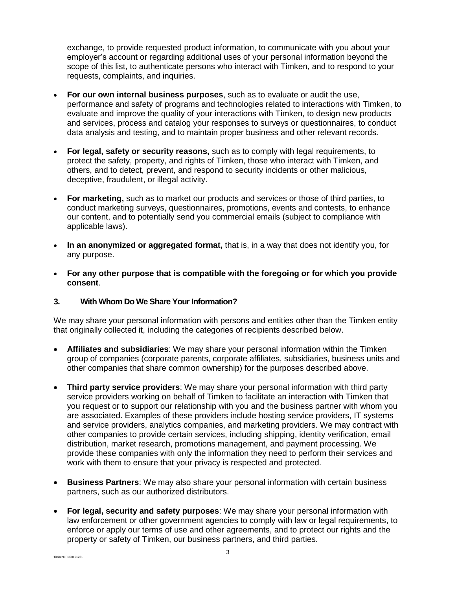exchange, to provide requested product information, to communicate with you about your employer's account or regarding additional uses of your personal information beyond the scope of this list, to authenticate persons who interact with Timken, and to respond to your requests, complaints, and inquiries.

- **For our own internal business purposes**, such as to evaluate or audit the use, performance and safety of programs and technologies related to interactions with Timken, to evaluate and improve the quality of your interactions with Timken, to design new products and services, process and catalog your responses to surveys or questionnaires, to conduct data analysis and testing, and to maintain proper business and other relevant records.
- **For legal, safety or security reasons,** such as to comply with legal requirements, to protect the safety, property, and rights of Timken, those who interact with Timken, and others, and to detect, prevent, and respond to security incidents or other malicious, deceptive, fraudulent, or illegal activity.
- **For marketing,** such as to market our products and services or those of third parties, to conduct marketing surveys, questionnaires, promotions, events and contests, to enhance our content, and to potentially send you commercial emails (subject to compliance with applicable laws).
- **In an anonymized or aggregated format,** that is, in a way that does not identify you, for any purpose.
- **For any other purpose that is compatible with the foregoing or for which you provide consent**.

## <span id="page-2-0"></span>**3. With Whom Do We Share Your Information?**

We may share your personal information with persons and entities other than the Timken entity that originally collected it, including the categories of recipients described below.

- **Affiliates and subsidiaries**: We may share your personal information within the Timken group of companies (corporate parents, corporate affiliates, subsidiaries, business units and other companies that share common ownership) for the purposes described above.
- **Third party service providers**: We may share your personal information with third party service providers working on behalf of Timken to facilitate an interaction with Timken that you request or to support our relationship with you and the business partner with whom you are associated. Examples of these providers include hosting service providers, IT systems and service providers, analytics companies, and marketing providers. We may contract with other companies to provide certain services, including shipping, identity verification, email distribution, market research, promotions management, and payment processing. We provide these companies with only the information they need to perform their services and work with them to ensure that your privacy is respected and protected.
- **Business Partners**: We may also share your personal information with certain business partners, such as our authorized distributors.
- **For legal, security and safety purposes**: We may share your personal information with law enforcement or other government agencies to comply with law or legal requirements, to enforce or apply our terms of use and other agreements, and to protect our rights and the property or safety of Timken, our business partners, and third parties.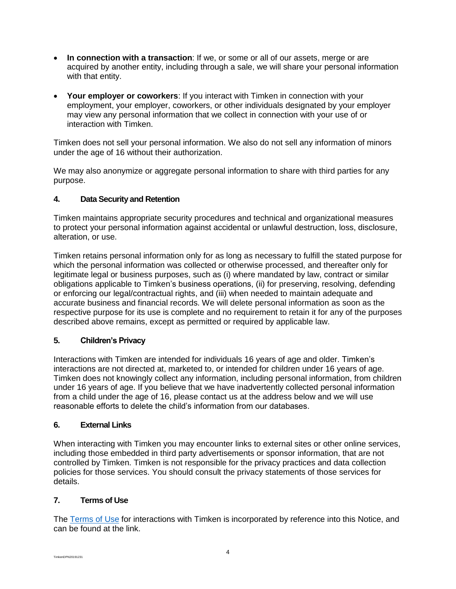- **In connection with a transaction**: If we, or some or all of our assets, merge or are acquired by another entity, including through a sale, we will share your personal information with that entity.
- **Your employer or coworkers**: If you interact with Timken in connection with your employment, your employer, coworkers, or other individuals designated by your employer may view any personal information that we collect in connection with your use of or interaction with Timken.

Timken does not sell your personal information. We also do not sell any information of minors under the age of 16 without their authorization.

We may also anonymize or aggregate personal information to share with third parties for any purpose.

## <span id="page-3-0"></span>**4. Data Security and Retention**

Timken maintains appropriate security procedures and technical and organizational measures to protect your personal information against accidental or unlawful destruction, loss, disclosure, alteration, or use.

Timken retains personal information only for as long as necessary to fulfill the stated purpose for which the personal information was collected or otherwise processed, and thereafter only for legitimate legal or business purposes, such as (i) where mandated by law, contract or similar obligations applicable to Timken's business operations, (ii) for preserving, resolving, defending or enforcing our legal/contractual rights, and (iii) when needed to maintain adequate and accurate business and financial records. We will delete personal information as soon as the respective purpose for its use is complete and no requirement to retain it for any of the purposes described above remains, except as permitted or required by applicable law.

## <span id="page-3-1"></span>**5. Children's Privacy**

Interactions with Timken are intended for individuals 16 years of age and older. Timken's interactions are not directed at, marketed to, or intended for children under 16 years of age. Timken does not knowingly collect any information, including personal information, from children under 16 years of age. If you believe that we have inadvertently collected personal information from a child under the age of 16, please contact us at the address below and we will use reasonable efforts to delete the child's information from our databases.

## <span id="page-3-2"></span>**6. External Links**

When interacting with Timken you may encounter links to external sites or other online services, including those embedded in third party advertisements or sponsor information, that are not controlled by Timken. Timken is not responsible for the privacy practices and data collection policies for those services. You should consult the privacy statements of those services for details.

## <span id="page-3-3"></span>**7. Terms of Use**

The [Terms of Use](https://www.timken.com/terms-of-use/) for interactions with Timken is incorporated by reference into this Notice, and can be found at the link.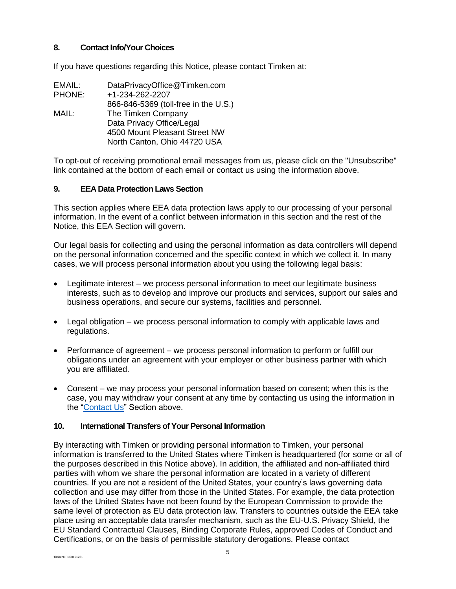## <span id="page-4-1"></span>**8. Contact Info/Your Choices**

If you have questions regarding this Notice, please contact Timken at:

| EMAIL:        | DataPrivacyOffice@Timken.com         |
|---------------|--------------------------------------|
| <b>PHONE:</b> | +1-234-262-2207                      |
|               | 866-846-5369 (toll-free in the U.S.) |
| MAIL:         | The Timken Company                   |
|               | Data Privacy Office/Legal            |
|               | 4500 Mount Pleasant Street NW        |
|               | North Canton, Ohio 44720 USA         |
|               |                                      |

To opt-out of receiving promotional email messages from us, please click on the "Unsubscribe" link contained at the bottom of each email or contact us using the information above.

## <span id="page-4-0"></span>**9. EEA Data Protection Laws Section**

This section applies where EEA data protection laws apply to our processing of your personal information. In the event of a conflict between information in this section and the rest of the Notice, this EEA Section will govern.

Our legal basis for collecting and using the personal information as data controllers will depend on the personal information concerned and the specific context in which we collect it. In many cases, we will process personal information about you using the following legal basis:

- Legitimate interest we process personal information to meet our legitimate business interests, such as to develop and improve our products and services, support our sales and business operations, and secure our systems, facilities and personnel.
- Legal obligation we process personal information to comply with applicable laws and regulations.
- Performance of agreement we process personal information to perform or fulfill our obligations under an agreement with your employer or other business partner with which you are affiliated.
- Consent we may process your personal information based on consent; when this is the case, you may withdraw your consent at any time by contacting us using the information in the ["Contact Us"](#page-4-1) Section above.

## <span id="page-4-2"></span>**10. International Transfers of Your Personal Information**

By interacting with Timken or providing personal information to Timken, your personal information is transferred to the United States where Timken is headquartered (for some or all of the purposes described in this Notice above). In addition, the affiliated and non-affiliated third parties with whom we share the personal information are located in a variety of different countries. If you are not a resident of the United States, your country's laws governing data collection and use may differ from those in the United States. For example, the data protection laws of the United States have not been found by the European Commission to provide the same level of protection as EU data protection law. Transfers to countries outside the EEA take place using an acceptable data transfer mechanism, such as the EU-U.S. Privacy Shield, the EU Standard Contractual Clauses, Binding Corporate Rules, approved Codes of Conduct and Certifications, or on the basis of permissible statutory derogations. Please contact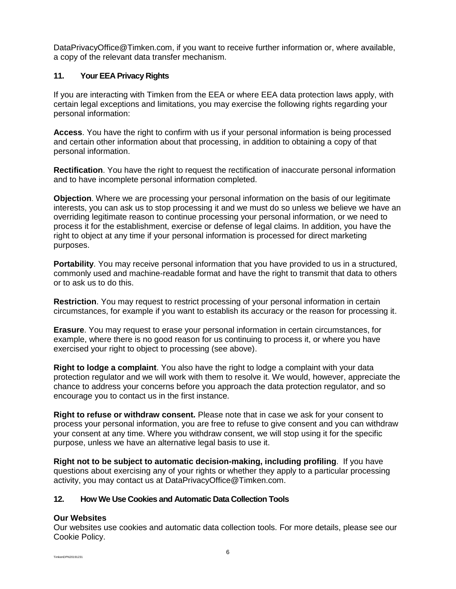DataPrivacyOffice@Timken.com, if you want to receive further information or, where available, a copy of the relevant data transfer mechanism.

## <span id="page-5-0"></span>**11. Your EEA Privacy Rights**

If you are interacting with Timken from the EEA or where EEA data protection laws apply, with certain legal exceptions and limitations, you may exercise the following rights regarding your personal information:

**Access**. You have the right to confirm with us if your personal information is being processed and certain other information about that processing, in addition to obtaining a copy of that personal information.

**Rectification**. You have the right to request the rectification of inaccurate personal information and to have incomplete personal information completed.

**Objection**. Where we are processing your personal information on the basis of our legitimate interests, you can ask us to stop processing it and we must do so unless we believe we have an overriding legitimate reason to continue processing your personal information, or we need to process it for the establishment, exercise or defense of legal claims. In addition, you have the right to object at any time if your personal information is processed for direct marketing purposes.

**Portability**. You may receive personal information that you have provided to us in a structured, commonly used and machine-readable format and have the right to transmit that data to others or to ask us to do this.

**Restriction**. You may request to restrict processing of your personal information in certain circumstances, for example if you want to establish its accuracy or the reason for processing it.

**Erasure**. You may request to erase your personal information in certain circumstances, for example, where there is no good reason for us continuing to process it, or where you have exercised your right to object to processing (see above).

**Right to lodge a complaint**. You also have the right to lodge a complaint with your data protection regulator and we will work with them to resolve it. We would, however, appreciate the chance to address your concerns before you approach the data protection regulator, and so encourage you to contact us in the first instance.

**Right to refuse or withdraw consent.** Please note that in case we ask for your consent to process your personal information, you are free to refuse to give consent and you can withdraw your consent at any time. Where you withdraw consent, we will stop using it for the specific purpose, unless we have an alternative legal basis to use it.

**Right not to be subject to automatic decision-making, including profiling**. If you have questions about exercising any of your rights or whether they apply to a particular processing activity, you may contact us at DataPrivacyOffice@Timken.com.

## <span id="page-5-1"></span>**12. How We Use Cookies and Automatic Data Collection Tools**

## **Our Websites**

Our websites use cookies and automatic data collection tools. For more details, please see our Cookie Policy.

TimkenDPN20191231